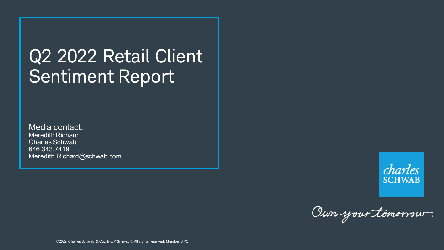# Q2 2022 Retail Client Sentiment Report

Media contact: Meredith Richard Charles Schwab 646.343.7419 Meredith.Richard@schwab.com



Oun your tomorrow.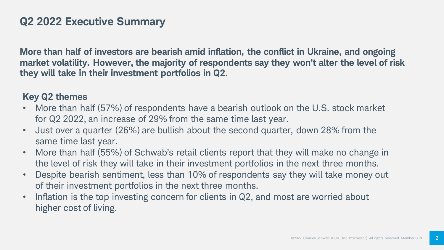### **Q2 2022 Executive Summary**

**More than half of investors are bearish amid inflation, the conflict in Ukraine, and ongoing market volatility. However, the majority of respondents say they won't alter the level of risk they will take in their investment portfolios in Q2.** 

#### **Key Q2 themes**

- More than half (57%) of respondents have a bearish outlook on the U.S. stock market for Q2 2022, an increase of 29% from the same time last year.
- Just over a quarter (26%) are bullish about the second quarter, down 28% from the same time last year.
- More than half (55%) of Schwab's retail clients report that they will make no change in the level of risk they will take in their investment portfolios in the next three months.
- Despite bearish sentiment, less than 10% of respondents say they will take money out of their investment portfolios in the next three months.
- Inflation is the top investing concern for clients in Q2, and most are worried about higher cost of living.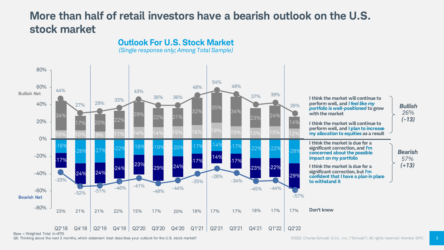### **More than half of retail investors have a bearish outlook on the U.S. stock market**

**Outlook For U.S. Stock Market**



Q6. Thinking about the next 3 months, which statement best describes your outlook for the U.S. stock market?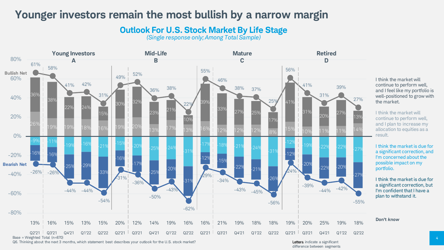#### **Younger investors remain the most bullish by a narrow margin**

**Outlook For U.S. Stock Market By Life Stage**

*(Single response only; Among Total Sample)*



I think the market will continue to perform well, and I feel like my portfolio is well-positioned to grow with the market.

I think the market will continue to perform well, and I plan to increase my allocation to equities as a result.

I think the market is due for a significant correction, and I'm concerned about the possible impact on my portfolio.

I think the market is due for a significant correction, but I'm confident that I have a plan to withstand it.

**Don't** *know*

Q6. Thinking about the next 3 months, which statement best describes your outlook for the U.S. stock market?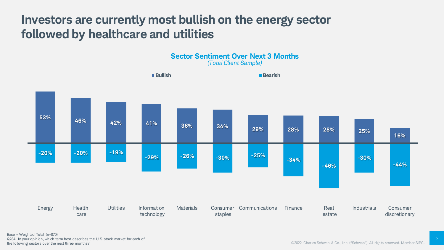## **Investors are currently most bullish on the energy sector followed by healthcare and utilities**



5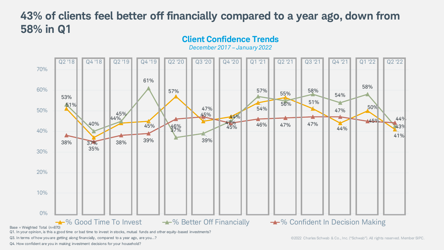#### **Client Confidence Trends 43% of clients feel better off financially compared to a year ago, down from 58% in Q1**



Q4. How confident are you in making investment decisions for your household?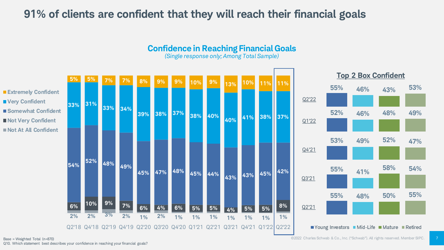### **91% of clients are confident that they will reach their financial goals**



**Confidence in Reaching Financial Goals**

*(Single response only; Among Total Sample)*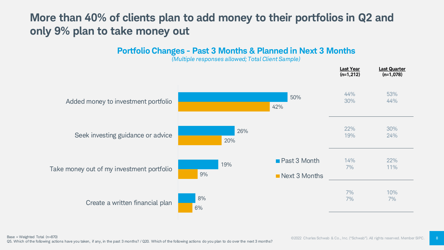## **More than 40% of clients plan to add money to their portfolios in Q2 and only 9% plan to take money out**

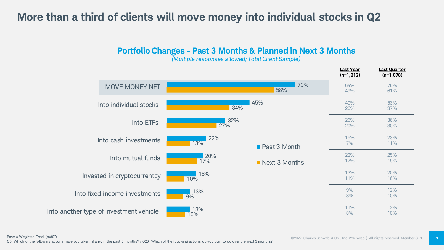### **More than a third of clients will move money into individual stocks in Q2**

**Portfolio Changes - Past 3 Months & Planned in Next 3 Months** 



*(Multiple responses allowed; Total Client Sample)*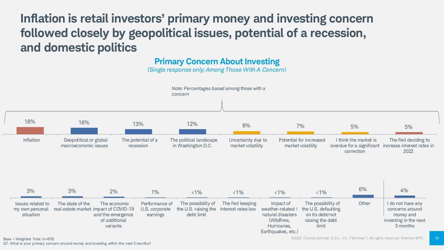**Inflation is retail investors' primary money and investing concern followed closely by geopolitical issues, potential of a recession, and domestic politics**

**Primary Concern About Investing**

*(Single response only; Among Those With A Concern)*

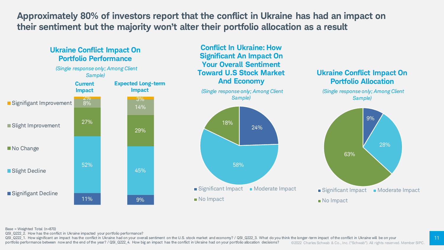**Approximately 80% of investors report that the conflict in Ukraine has had an impact on their sentiment but the majority won't alter their portfolio allocation as a result**



Base = Weighted Total (n=870)

QSI\_Q222\_2. How has the conflict in Ukraine impacted your portfolio performance?

©2022 Charles Schwab & Co., Inc. ("Schwab"). All rights reserved. Member SIPC. QSI Q222 1. How significant an impact has the conflict in Ukraine had on your overall sentiment on the U.S. stock market and economy? / QSI Q222 3. What do you think the longer-term impact of the conflict in Ukraine will b portfolio performance between now and the end of the year? / QSI\_Q222\_4. How big an impact has the conflict in Ukraine had on your portfolio allocation decisions?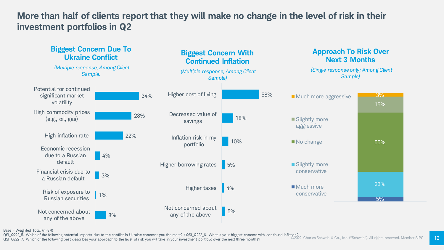#### **More than half of clients report that they will make no change in the level of risk in their investment portfolios in Q2**



Base = Weighted Total (n=870

QSI\_Q222\_5. Which of the following potential impacts due to the conflict in Ukraine concerns you the most? / QSI\_Q222\_6. What is your biggest concern with continued inflation?<br>QSI\_Q222\_7. Which of the following best descri

QSI\_Q222\_7. Which of the following best describes your approach to the level of risk you will take in your investment portfolio over the next three months?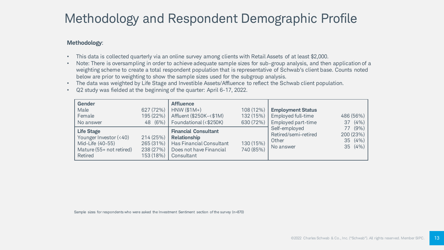# Methodology and Respondent Demographic Profile

#### **Methodology**:

- This data is collected quarterly via an online survey among clients with Retail Assets of at least \$2,000.
- Note: There is oversampling in order to achieve adequate sample sizes for sub-group analysis, and then application of a weighting scheme to create a total respondent population that is representative of Schwab's client base. Counts noted below are prior to weighting to show the sample sizes used for the subgroup analysis.
- The data was weighted by Life Stage and Investible Assets/Affluence to reflect the Schwab client population.
- Q2 study was fielded at the beginning of the quarter: April 6-17, 2022.

| <b>Gender</b><br>Male<br>Female<br>No answer                                                           | 627 (72%)<br>195 (22%)<br>48 (6%)               | <b>Affluence</b><br>$HNW(S1M+)$<br>Affluent (\$250K-<\$1M)<br>Foundational (<\$250K)                                    | 108 (12%)<br>132 (15%)<br>630 (72%) | <b>Employment Status</b><br>Employed full-time<br>Employed part-time | 486 (56%)<br>(4% )<br>37                  |
|--------------------------------------------------------------------------------------------------------|-------------------------------------------------|-------------------------------------------------------------------------------------------------------------------------|-------------------------------------|----------------------------------------------------------------------|-------------------------------------------|
| <b>Life Stage</b><br>Younger Investor (<40)<br>Mid-Life (40-55)<br>Mature (55+ not retired)<br>Retired | 214(25%)<br>265 (31%)<br>238 (27%)<br>153 (18%) | <b>Financial Consultant</b><br><b>Relationship</b><br>Has Financial Consultant<br>Does not have Financial<br>Consultant | 130 (15%)<br>740 (85%)              | Self-employed<br>Retired/semi-retired<br>Other<br>No answer          | 77 (9%)<br>200 (23%)<br>35(4%)<br>35 (4%) |

Sample sizes for respondents who were asked the Investment Sentiment section of the survey (n=870)